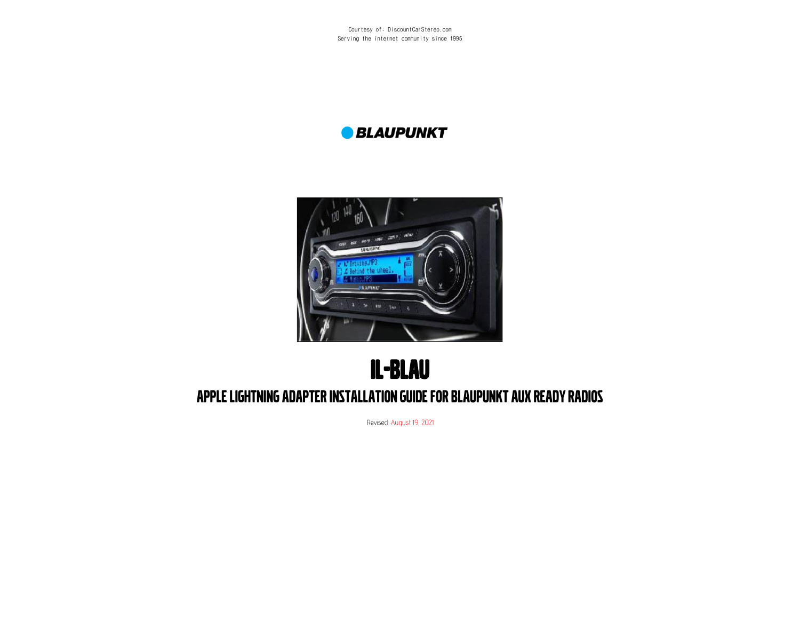Courtesy of: DiscountCarStereo.com Serving the internet community since 1995

#### **BLAUPUNKT**



# IL-BLAU APPLE LIGHTNING ADAPTER INSTALLATION GUIDE FOR BLAUPUNKT AUX READY RADIOS

Revised: August 19, 2021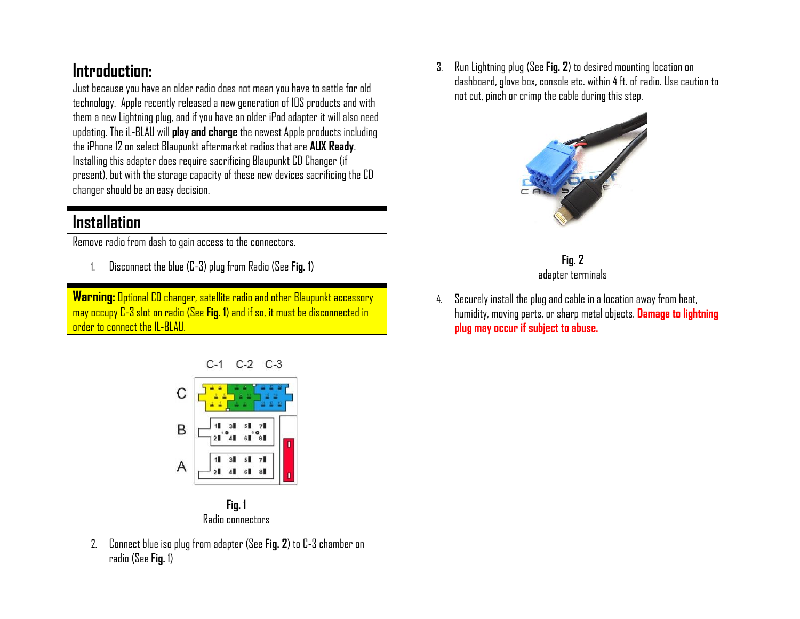### **Introduction:**

Just because you have an older radio does not mean you have to settle for old technology. Apple recently released a new generation of IOS products and with them a new Lightning plug, and if you have an older iPod adapter it will also need updating. The iL-BLAU will **play and charge** the newest Apple products including the iPhone 12 on select Blaupunkt aftermarket radios that are **AUX Ready**. Installing this adapter does require sacrificing Blaupunkt CD Changer (if present), but with the storage capacity of these new devices sacrificing the CD changer should be an easy decision.

### **Installation**

Remove radio from dash to gain access to the connectors.

1. Disconnect the blue (C-3) plug from Radio (See **Fig. 1**)

**Warning:** Optional CD changer, satellite radio and other Blaupunkt accessory may occupy C-3 slot on radio (See **Fig. 1**) and if so, it must be disconnected in order to connect the IL-BLAU.





2. Connect blue iso plug from adapter (See **Fig. 2**) to C-3 chamberon radio (See **Fig.** 1)

3. Run Lightning plug (See **Fig. 2**) to desired mounting location on dashboard, glove box, console etc. within 4ft. of radio. Use caution to not cut, pinch or crimp the cable during this step.





4. Securely install the plug and cable in a location away from heat, humidity, moving parts, or sharp metal objects. **Damage to lightning plug may occur if subject to abuse.**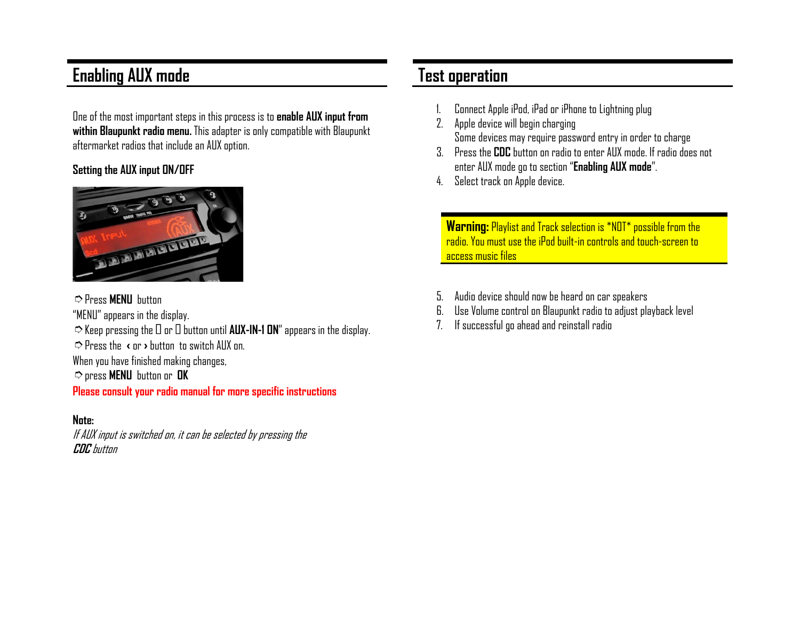### **Enabling AUX mode**

One of the most important steps in this process is to **enable AUX input from within Blaupunkt radio menu.** This adapter is only compatible with Blaupunkt aftermarket radios that include an AUX option.

#### **Setting the AUX input ON/OFF**



➮Press **MENU** button "MENU" appears in the display.  $\heartsuit$  Keep pressing the  $\square$  or  $\square$  button until **AUX-IN-1 ON**" appears in the display. ➮Press the **‹** or **›** button to switch AUX on. When you have finished making changes, ➮press **MENU** button or **OK Please consult your radio manual for more specific instructions**

#### **Note:**

If AUX input is switched on, it can be selected by pressing the **CDC** button

#### **Test operation**

- 1. Connect Apple iPod, iPad or iPhone to Lightning plug
- 2. Apple device will begin charging Some devices may require password entry in order to charge
- 3. Press the **CDC** button on radio to enter AUX mode. If radio does not enter AUX mode go to section "**Enabling AUX mode**".
- 4. Select track on Apple device.

**Warning:** Playlist and Track selection is \*NOT\* possible from the radio. You must use the iPod built-in controls and touch-screen to access music files

- 5. Audio device should now be heard on car speakers
- 6. Use Volume control on Blaupunkt radio to adjust playback level
- 7. If successful go ahead and reinstall radio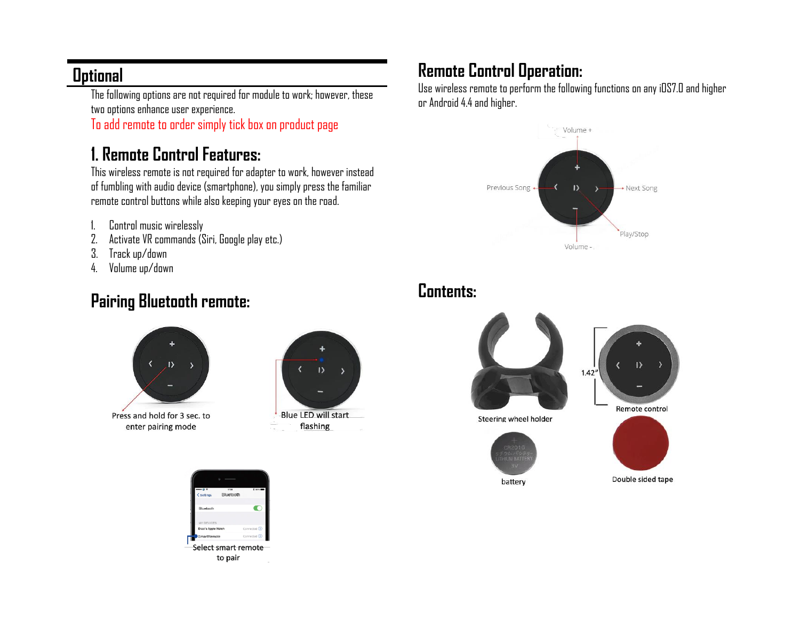#### **Optional**

The following options are not required for module to work; however, these two options enhance user experience.

To add remote to order simply tick box on product page

## **1. Remote Control Features:**

This wireless remote is not required for adapter to work, however instead of fumbling with audio device (smartphone), you simply press the familiar remote control buttons while also keeping your eyes on the road.

- 1. Control music wirelessly
- 2. Activate VR commands (Siri, Google play etc.)
- 3. Track up/down
- 4. Volume up/down

### **Pairing Bluetooth remote:**





flashing

## **Remote Control Operation:**

Use wireless remote to perform the following functions on any iOS7.0 and higher or Android 4.4 and higher.



## **Contents:**